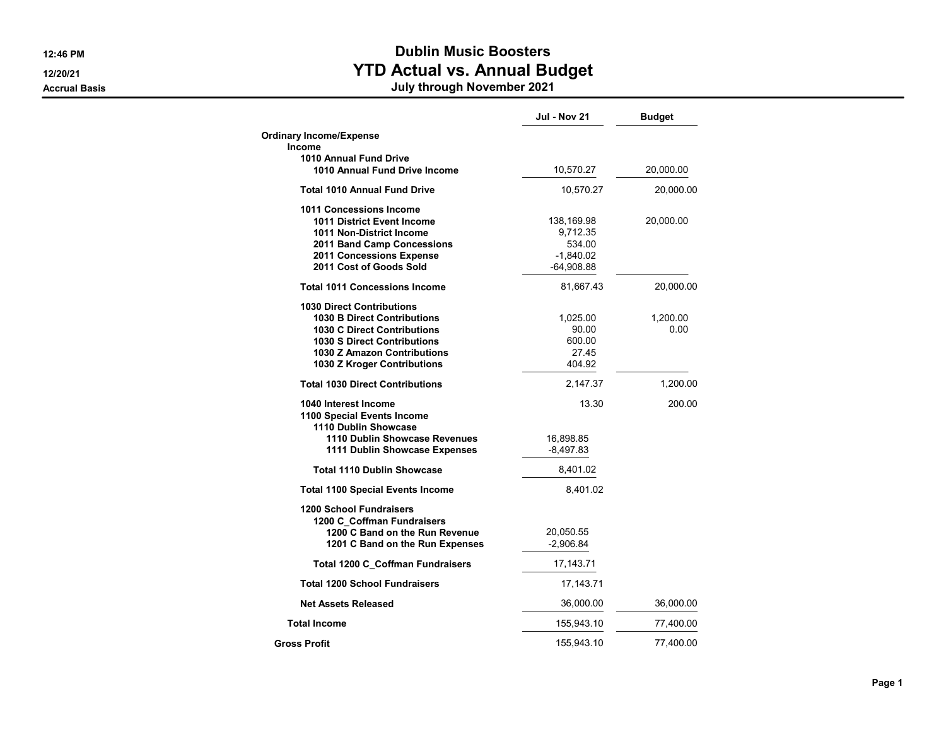## 12:46 PM **Dublin Music Boosters** 12/20/21 **Proposed Contract Contract Contract Contract Contract Contract Contract Contract Contract Contract Contract Contract Contract Contract Contract Contract Contract Contract Contract Contract Contract Contract Contr**

Accrual Basis July through November 2021

|                                                    | <b>Jul - Nov 21</b> | <b>Budget</b> |
|----------------------------------------------------|---------------------|---------------|
| <b>Ordinary Income/Expense</b>                     |                     |               |
| Income<br>1010 Annual Fund Drive                   |                     |               |
| 1010 Annual Fund Drive Income                      | 10,570.27           | 20,000.00     |
| <b>Total 1010 Annual Fund Drive</b>                | 10,570.27           | 20,000.00     |
| 1011 Concessions Income                            |                     |               |
| 1011 District Event Income                         | 138,169.98          | 20,000.00     |
| 1011 Non-District Income                           | 9,712.35            |               |
| 2011 Band Camp Concessions                         | 534.00              |               |
| 2011 Concessions Expense                           | $-1,840.02$         |               |
| 2011 Cost of Goods Sold                            | $-64,908.88$        |               |
| <b>Total 1011 Concessions Income</b>               | 81,667.43           | 20,000.00     |
| <b>1030 Direct Contributions</b>                   |                     |               |
| <b>1030 B Direct Contributions</b>                 | 1,025.00            | 1,200.00      |
| <b>1030 C Direct Contributions</b>                 | 90.00               | 0.00          |
| 1030 S Direct Contributions                        | 600.00              |               |
| 1030 Z Amazon Contributions                        | 27.45               |               |
| 1030 Z Kroger Contributions                        | 404.92              |               |
| <b>Total 1030 Direct Contributions</b>             | 2,147.37            | 1,200.00      |
| 1040 Interest Income<br>1100 Special Events Income | 13.30               | 200.00        |
| 1110 Dublin Showcase                               |                     |               |
| 1110 Dublin Showcase Revenues                      | 16,898.85           |               |
| 1111 Dublin Showcase Expenses                      | $-8,497.83$         |               |
| <b>Total 1110 Dublin Showcase</b>                  | 8,401.02            |               |
| <b>Total 1100 Special Events Income</b>            | 8,401.02            |               |
| <b>1200 School Fundraisers</b>                     |                     |               |
| 1200 C Coffman Fundraisers                         |                     |               |
| 1200 C Band on the Run Revenue                     | 20,050.55           |               |
| 1201 C Band on the Run Expenses                    | $-2,906.84$         |               |
| <b>Total 1200 C Coffman Fundraisers</b>            | 17,143.71           |               |
| <b>Total 1200 School Fundraisers</b>               | 17,143.71           |               |
| <b>Net Assets Released</b>                         | 36,000.00           | 36,000.00     |
| <b>Total Income</b>                                | 155,943.10          | 77,400.00     |
| <b>Gross Profit</b>                                | 155,943.10          | 77,400.00     |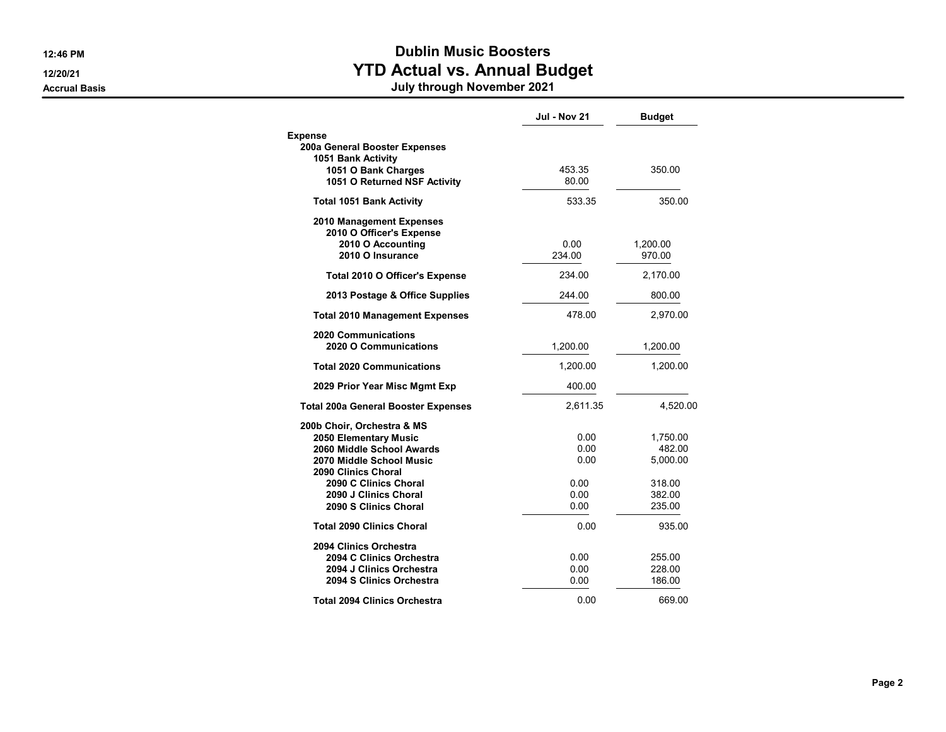## 12:46 PM **Dublin Music Boosters** 12/20/21 **Proposed Contract Contract Contract Contract Contract Contract Contract Contract Contract Contract Contract Contract Contract Contract Contract Contract Contract Contract Contract Contract Contract Contract Contr** Accrual Basis July through November 2021

|                                                                                                                                                                                                                | <b>Jul - Nov 21</b>                          | <b>Budget</b>                                                |
|----------------------------------------------------------------------------------------------------------------------------------------------------------------------------------------------------------------|----------------------------------------------|--------------------------------------------------------------|
| <b>Expense</b><br>200a General Booster Expenses<br>1051 Bank Activity<br>1051 O Bank Charges<br>1051 O Returned NSF Activity                                                                                   | 453.35<br>80.00                              | 350.00                                                       |
| <b>Total 1051 Bank Activity</b>                                                                                                                                                                                | 533.35                                       | 350.00                                                       |
| 2010 Management Expenses<br>2010 O Officer's Expense<br>2010 O Accounting<br>2010 O Insurance                                                                                                                  | 0.00<br>234.00                               | 1,200.00<br>970.00                                           |
| Total 2010 O Officer's Expense                                                                                                                                                                                 | 234.00                                       | 2,170.00                                                     |
| 2013 Postage & Office Supplies                                                                                                                                                                                 | 244.00                                       | 800.00                                                       |
| <b>Total 2010 Management Expenses</b>                                                                                                                                                                          | 478.00                                       | 2,970.00                                                     |
| 2020 Communications<br>2020 O Communications                                                                                                                                                                   | 1,200.00                                     | 1,200.00                                                     |
| <b>Total 2020 Communications</b>                                                                                                                                                                               | 1,200.00                                     | 1,200.00                                                     |
| 2029 Prior Year Misc Mgmt Exp                                                                                                                                                                                  | 400.00                                       |                                                              |
| <b>Total 200a General Booster Expenses</b>                                                                                                                                                                     | 2,611.35                                     | 4,520.00                                                     |
| 200b Choir, Orchestra & MS<br>2050 Elementary Music<br>2060 Middle School Awards<br>2070 Middle School Music<br>2090 Clinics Choral<br>2090 C Clinics Choral<br>2090 J Clinics Choral<br>2090 S Clinics Choral | 0.00<br>0.00<br>0.00<br>0.00<br>0.00<br>0.00 | 1,750.00<br>482.00<br>5,000.00<br>318.00<br>382.00<br>235.00 |
| <b>Total 2090 Clinics Choral</b>                                                                                                                                                                               | 0.00                                         | 935.00                                                       |
| 2094 Clinics Orchestra<br>2094 C Clinics Orchestra<br>2094 J Clinics Orchestra<br>2094 S Clinics Orchestra                                                                                                     | 0.00<br>0.00<br>0.00                         | 255.00<br>228.00<br>186.00                                   |
| <b>Total 2094 Clinics Orchestra</b>                                                                                                                                                                            | 0.00                                         | 669.00                                                       |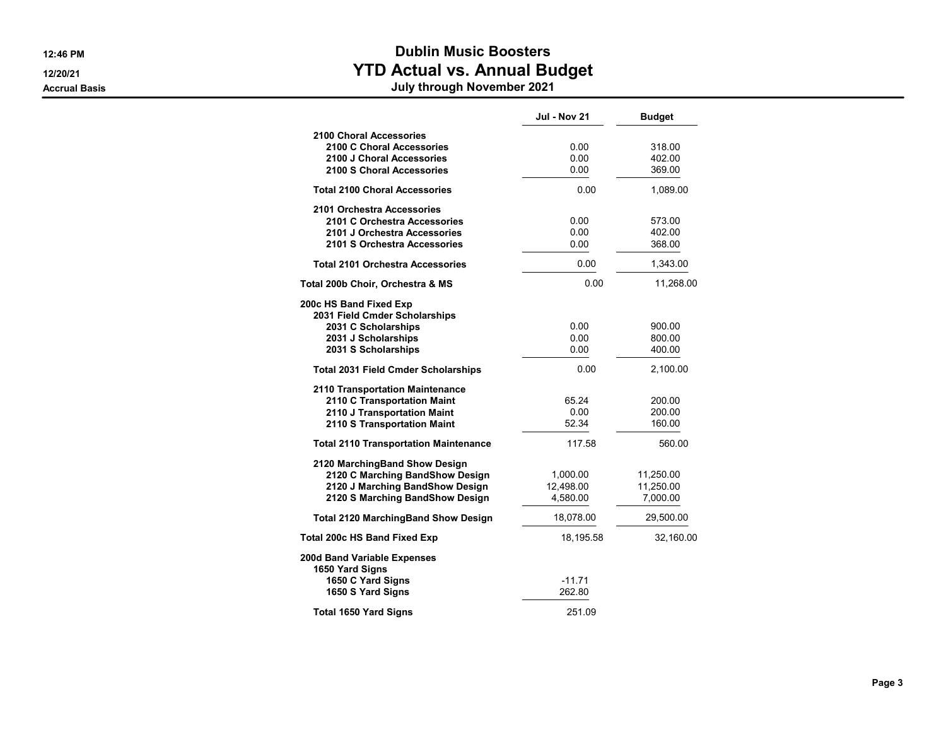# 12:46 PM **Dublin Music Boosters** 12/20/21 **Proposed Contract Contract Contract Contract Contract Contract Contract Contract Contract Contract Contract Contract Contract Contract Contract Contract Contract Contract Contract Contract Contract Contract Contr**

#### Accrual Basis July through November 2021

|                                                                                                                                        | <b>Jul - Nov 21</b>               | <b>Budget</b>                      |
|----------------------------------------------------------------------------------------------------------------------------------------|-----------------------------------|------------------------------------|
| 2100 Choral Accessories<br>2100 C Choral Accessories<br>2100 J Choral Accessories<br>2100 S Choral Accessories                         | 0.00<br>0.00<br>0.00              | 318.00<br>402.00<br>369.00         |
| <b>Total 2100 Choral Accessories</b>                                                                                                   | 0.00                              | 1,089.00                           |
| 2101 Orchestra Accessories<br>2101 C Orchestra Accessories<br>2101 J Orchestra Accessories<br>2101 S Orchestra Accessories             | 0.00<br>0.00<br>0.00              | 573.00<br>402.00<br>368.00         |
| <b>Total 2101 Orchestra Accessories</b>                                                                                                | 0.00                              | 1,343.00                           |
| Total 200b Choir, Orchestra & MS                                                                                                       | 0.00                              | 11,268.00                          |
| 200c HS Band Fixed Exp<br>2031 Field Cmder Scholarships<br>2031 C Scholarships<br>2031 J Scholarships<br>2031 S Scholarships           | 0.00<br>0.00<br>0.00              | 900.00<br>800.00<br>400.00         |
| <b>Total 2031 Field Cmder Scholarships</b>                                                                                             | 0.00                              | 2,100.00                           |
| 2110 Transportation Maintenance<br>2110 C Transportation Maint<br>2110 J Transportation Maint<br>2110 S Transportation Maint           | 65.24<br>0.00<br>52.34            | 200.00<br>200.00<br>160.00         |
| <b>Total 2110 Transportation Maintenance</b>                                                                                           | 117.58                            | 560.00                             |
| 2120 MarchingBand Show Design<br>2120 C Marching BandShow Design<br>2120 J Marching BandShow Design<br>2120 S Marching BandShow Design | 1,000.00<br>12.498.00<br>4,580.00 | 11,250.00<br>11,250.00<br>7,000.00 |
| <b>Total 2120 MarchingBand Show Design</b>                                                                                             | 18,078.00                         | 29,500.00                          |
| <b>Total 200c HS Band Fixed Exp</b>                                                                                                    | 18,195.58                         | 32,160.00                          |
| 200d Band Variable Expenses<br>1650 Yard Signs<br>1650 C Yard Signs<br>1650 S Yard Signs                                               | $-11.71$<br>262.80                |                                    |
| Total 1650 Yard Signs                                                                                                                  | 251.09                            |                                    |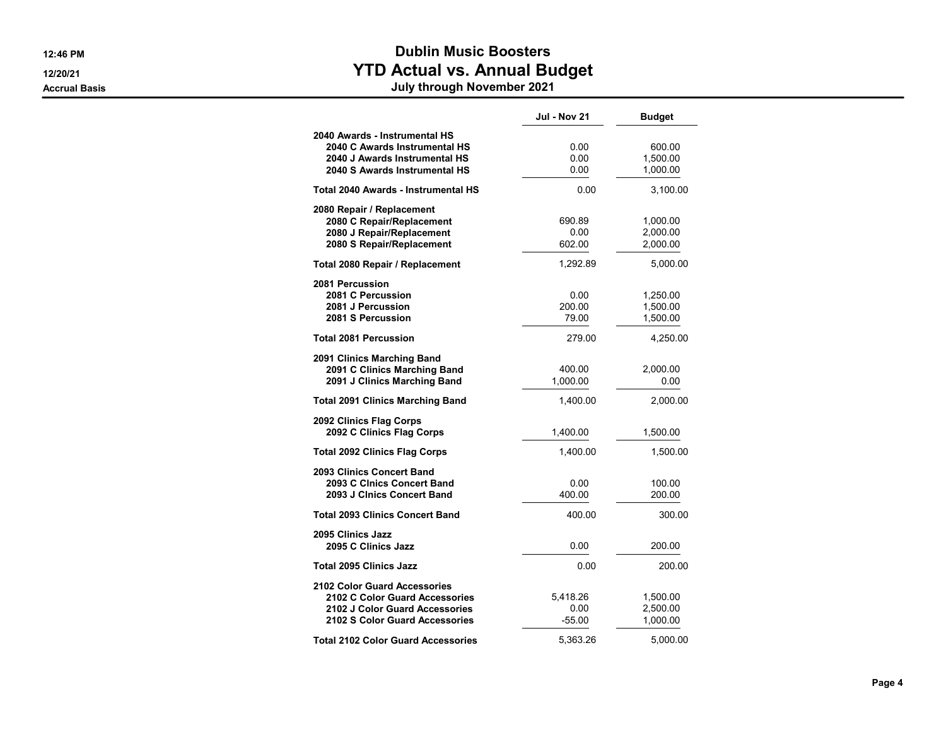## 12:46 PM **Dublin Music Boosters** 12/20/21 **Proposed Contract Contract Contract Contract Contract Contract Contract Contract Contract Contract Contract Contract Contract Contract Contract Contract Contract Contract Contract Contract Contract Contract Contr**

#### Accrual Basis July through November 2021

|                                                                                                                                           | <b>Jul - Nov 21</b>          | <b>Budget</b>                    |
|-------------------------------------------------------------------------------------------------------------------------------------------|------------------------------|----------------------------------|
| 2040 Awards - Instrumental HS<br>2040 C Awards Instrumental HS<br>2040 J Awards Instrumental HS<br>2040 S Awards Instrumental HS          | 0.00<br>0.00<br>0.00         | 600.00<br>1,500.00<br>1,000.00   |
| Total 2040 Awards - Instrumental HS                                                                                                       | 0.00                         | 3,100.00                         |
| 2080 Repair / Replacement<br>2080 C Repair/Replacement<br>2080 J Repair/Replacement<br>2080 S Repair/Replacement                          | 690.89<br>0.00<br>602.00     | 1,000.00<br>2,000.00<br>2,000.00 |
| Total 2080 Repair / Replacement                                                                                                           | 1,292.89                     | 5,000.00                         |
| 2081 Percussion<br>2081 C Percussion<br>2081 J Percussion<br>2081 S Percussion                                                            | 0.00<br>200.00<br>79.00      | 1,250.00<br>1,500.00<br>1,500.00 |
| <b>Total 2081 Percussion</b>                                                                                                              | 279.00                       | 4,250.00                         |
| 2091 Clinics Marching Band<br>2091 C Clinics Marching Band<br>2091 J Clinics Marching Band                                                | 400.00<br>1,000.00           | 2,000.00<br>0.00                 |
| <b>Total 2091 Clinics Marching Band</b>                                                                                                   | 1,400.00                     | 2,000.00                         |
| 2092 Clinics Flag Corps<br>2092 C Clinics Flag Corps                                                                                      | 1,400.00                     | 1,500.00                         |
| <b>Total 2092 Clinics Flag Corps</b>                                                                                                      | 1.400.00                     | 1,500.00                         |
| 2093 Clinics Concert Band<br>2093 C Cinics Concert Band<br>2093 J Clnics Concert Band                                                     | 0.00<br>400.00               | 100.00<br>200.00                 |
| <b>Total 2093 Clinics Concert Band</b>                                                                                                    | 400.00                       | 300.00                           |
| 2095 Clinics Jazz<br>2095 C Clinics Jazz                                                                                                  | 0.00                         | 200.00                           |
| <b>Total 2095 Clinics Jazz</b>                                                                                                            | 0.00                         | 200.00                           |
| <b>2102 Color Guard Accessories</b><br>2102 C Color Guard Accessories<br>2102 J Color Guard Accessories<br>2102 S Color Guard Accessories | 5,418.26<br>0.00<br>$-55.00$ | 1,500.00<br>2,500.00<br>1,000.00 |
| <b>Total 2102 Color Guard Accessories</b>                                                                                                 | 5.363.26                     | 5,000.00                         |